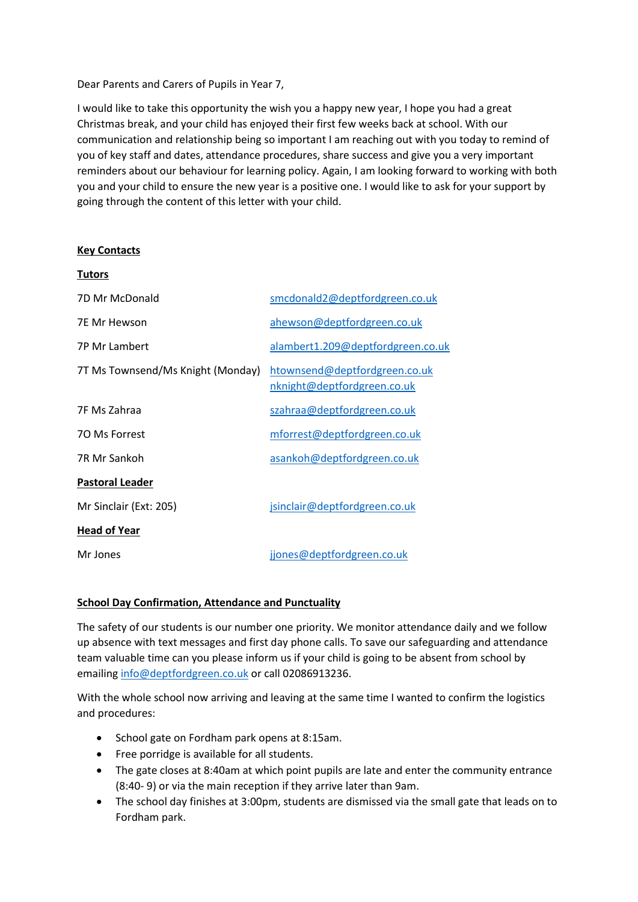Dear Parents and Carers of Pupils in Year 7,

I would like to take this opportunity the wish you a happy new year, I hope you had a great Christmas break, and your child has enjoyed their first few weeks back at school. With our communication and relationship being so important I am reaching out with you today to remind of you of key staff and dates, attendance procedures, share success and give you a very important reminders about our behaviour for learning policy. Again, I am looking forward to working with both you and your child to ensure the new year is a positive one. I would like to ask for your support by going through the content of this letter with your child.

### **Key Contacts**

| <b>Tutors</b>                     |                                                              |
|-----------------------------------|--------------------------------------------------------------|
| 7D Mr McDonald                    | smcdonald2@deptfordgreen.co.uk                               |
| <b>7E Mr Hewson</b>               | ahewson@deptfordgreen.co.uk                                  |
| <b>7P Mr Lambert</b>              | alambert1.209@deptfordgreen.co.uk                            |
| 7T Ms Townsend/Ms Knight (Monday) | htownsend@deptfordgreen.co.uk<br>nknight@deptfordgreen.co.uk |
| 7F Ms Zahraa                      | szahraa@deptfordgreen.co.uk                                  |
| 70 Ms Forrest                     | mforrest@deptfordgreen.co.uk                                 |
| 7R Mr Sankoh                      | asankoh@deptfordgreen.co.uk                                  |
| <b>Pastoral Leader</b>            |                                                              |
| Mr Sinclair (Ext: 205)            | jsinclair@deptfordgreen.co.uk                                |
| <b>Head of Year</b>               |                                                              |
| Mr Jones                          | jjones@deptfordgreen.co.uk                                   |

## **School Day Confirmation, Attendance and Punctuality**

The safety of our students is our number one priority. We monitor attendance daily and we follow up absence with text messages and first day phone calls. To save our safeguarding and attendance team valuable time can you please inform us if your child is going to be absent from school by emailin[g info@deptfordgreen.co.uk](mailto:info@deptfordgreen.co.uk) or call 02086913236.

With the whole school now arriving and leaving at the same time I wanted to confirm the logistics and procedures:

- School gate on Fordham park opens at 8:15am.
- Free porridge is available for all students.
- The gate closes at 8:40am at which point pupils are late and enter the community entrance (8:40- 9) or via the main reception if they arrive later than 9am.
- The school day finishes at 3:00pm, students are dismissed via the small gate that leads on to Fordham park.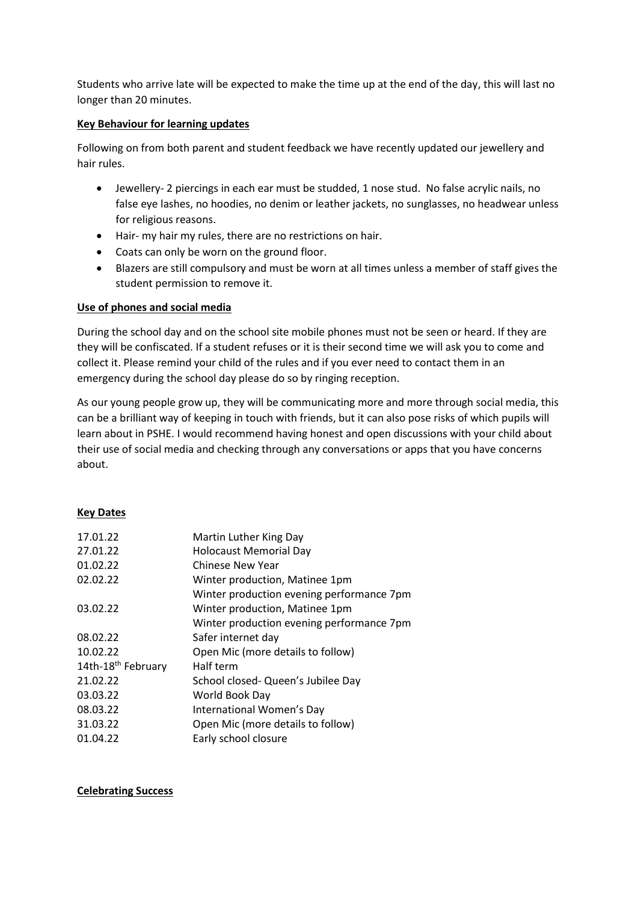Students who arrive late will be expected to make the time up at the end of the day, this will last no longer than 20 minutes.

## **Key Behaviour for learning updates**

Following on from both parent and student feedback we have recently updated our jewellery and hair rules.

- Jewellery- 2 piercings in each ear must be studded, 1 nose stud. No false acrylic nails, no false eye lashes, no hoodies, no denim or leather jackets, no sunglasses, no headwear unless for religious reasons.
- Hair- my hair my rules, there are no restrictions on hair.
- Coats can only be worn on the ground floor.
- Blazers are still compulsory and must be worn at all times unless a member of staff gives the student permission to remove it.

# **Use of phones and social media**

During the school day and on the school site mobile phones must not be seen or heard. If they are they will be confiscated. If a student refuses or it is their second time we will ask you to come and collect it. Please remind your child of the rules and if you ever need to contact them in an emergency during the school day please do so by ringing reception.

As our young people grow up, they will be communicating more and more through social media, this can be a brilliant way of keeping in touch with friends, but it can also pose risks of which pupils will learn about in PSHE. I would recommend having honest and open discussions with your child about their use of social media and checking through any conversations or apps that you have concerns about.

# **Key Dates**

| 17.01.22                       | Martin Luther King Day                    |
|--------------------------------|-------------------------------------------|
| 27.01.22                       | <b>Holocaust Memorial Day</b>             |
| 01.02.22                       | <b>Chinese New Year</b>                   |
| 02.02.22                       | Winter production, Matinee 1pm            |
|                                | Winter production evening performance 7pm |
| 03.02.22                       | Winter production, Matinee 1pm            |
|                                | Winter production evening performance 7pm |
| 08.02.22                       | Safer internet day                        |
| 10.02.22                       | Open Mic (more details to follow)         |
| 14th-18 <sup>th</sup> February | Half term                                 |
| 21.02.22                       | School closed- Queen's Jubilee Day        |
| 03.03.22                       | World Book Day                            |
| 08.03.22                       | International Women's Day                 |
| 31.03.22                       | Open Mic (more details to follow)         |
| 01.04.22                       | Early school closure                      |

### **Celebrating Success**